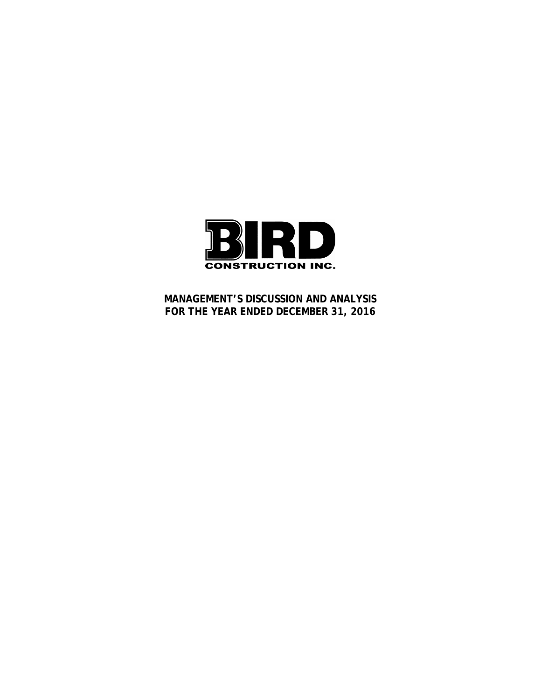

**MANAGEMENT'S DISCUSSION AND ANALYSIS FOR THE YEAR ENDED DECEMBER 31, 2016**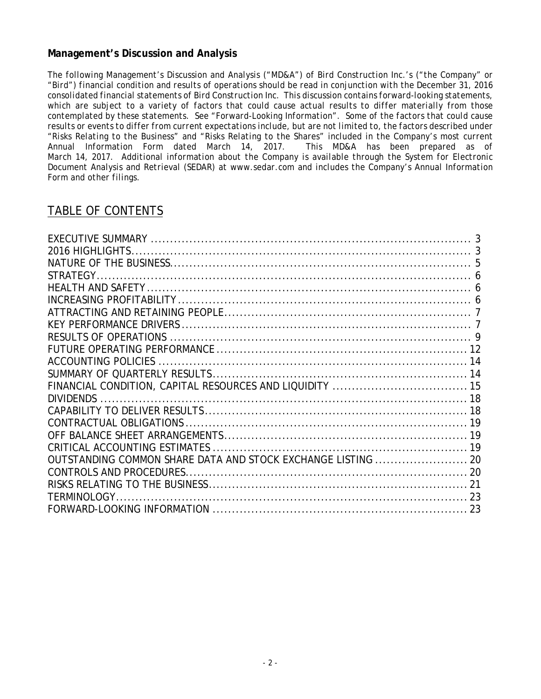# **Management's Discussion and Analysis**

*The following Management's Discussion and Analysis ("MD&A") of Bird Construction Inc.'s ("the Company" or "Bird") financial condition and results of operations should be read in conjunction with the December 31, 2016 consolidated financial statements of Bird Construction Inc. This discussion contains forward-looking statements, which are subject to a variety of factors that could cause actual results to differ materially from those contemplated by these statements. See "Forward-Looking Information". Some of the factors that could cause results or events to differ from current expectations include, but are not limited to, the factors described under "Risks Relating to the Business" and "Risks Relating to the Shares" included in the Company's most current Annual Information Form dated March 14, 2017. This MD&A has been prepared as of March 14, 2017. Additional information about the Company is available through the System for Electronic Document Analysis and Retrieval (SEDAR) at www.sedar.com and includes the Company's Annual Information Form and other filings.* 

# TABLE OF CONTENTS

| OUTSTANDING COMMON SHARE DATA AND STOCK EXCHANGE LISTING  20 |  |
|--------------------------------------------------------------|--|
|                                                              |  |
|                                                              |  |
|                                                              |  |
|                                                              |  |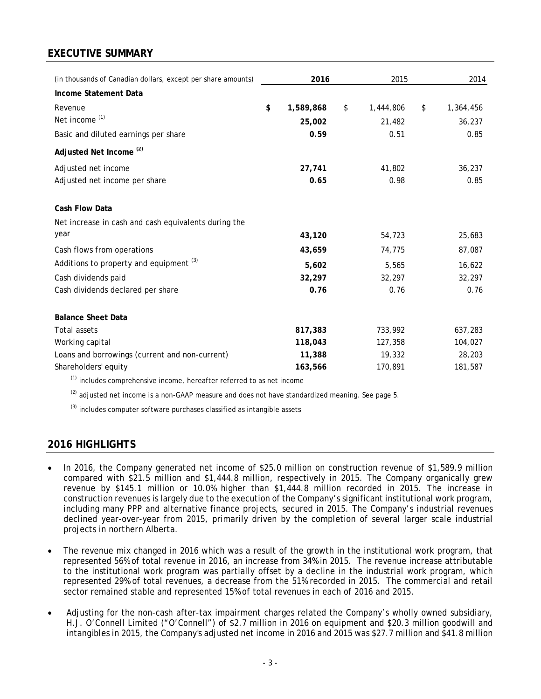# **EXECUTIVE SUMMARY**

| (in thousands of Canadian dollars, except per share amounts)                                                    | 2016            | 2015            | 2014            |
|-----------------------------------------------------------------------------------------------------------------|-----------------|-----------------|-----------------|
| Income Statement Data                                                                                           |                 |                 |                 |
| Revenue                                                                                                         | \$<br>1,589,868 | \$<br>1,444,806 | \$<br>1,364,456 |
| Net income <sup>(1)</sup>                                                                                       | 25,002          | 21,482          | 36,237          |
| Basic and diluted earnings per share                                                                            | 0.59            | 0.51            | 0.85            |
| Adjusted Net Income <sup>(2)</sup>                                                                              |                 |                 |                 |
| Adjusted net income                                                                                             | 27,741          | 41,802          | 36,237          |
| Adjusted net income per share                                                                                   | 0.65            | 0.98            | 0.85            |
| Cash Flow Data                                                                                                  |                 |                 |                 |
| Net increase in cash and cash equivalents during the                                                            |                 |                 |                 |
| year                                                                                                            | 43,120          | 54,723          | 25,683          |
| Cash flows from operations                                                                                      | 43,659          | 74,775          | 87,087          |
| Additions to property and equipment <sup>(3)</sup>                                                              | 5,602           | 5,565           | 16,622          |
| Cash dividends paid                                                                                             | 32,297          | 32,297          | 32,297          |
| Cash dividends declared per share                                                                               | 0.76            | 0.76            | 0.76            |
| <b>Balance Sheet Data</b>                                                                                       |                 |                 |                 |
| <b>Total assets</b>                                                                                             | 817,383         | 733,992         | 637,283         |
| Working capital                                                                                                 | 118,043         | 127,358         | 104,027         |
| Loans and borrowings (current and non-current)                                                                  | 11,388          | 19,332          | 28,203          |
| Shareholders' equity                                                                                            | 163,566         | 170,891         | 181,587         |
| the contract of the contract of the contract of the contract of the contract of the contract of the contract of |                 |                 |                 |

 $<sup>(1)</sup>$  includes comprehensive income, hereafter referred to as net income</sup>

 $^{(2)}$  adjusted net income is a non-GAAP measure and does not have standardized meaning. See page 5.

 $^{(3)}$  includes computer software purchases classified as intangible assets

# **2016 HIGHLIGHTS**

- In 2016, the Company generated net income of \$25.0 million on construction revenue of \$1,589.9 million compared with \$21.5 million and \$1,444.8 million, respectively in 2015. The Company organically grew revenue by \$145.1 million or 10.0% higher than \$1,444.8 million recorded in 2015. The increase in construction revenues is largely due to the execution of the Company's significant institutional work program, including many PPP and alternative finance projects, secured in 2015. The Company's industrial revenues declined year-over-year from 2015, primarily driven by the completion of several larger scale industrial projects in northern Alberta.
- The revenue mix changed in 2016 which was a result of the growth in the institutional work program, that represented 56% of total revenue in 2016, an increase from 34% in 2015. The revenue increase attributable to the institutional work program was partially offset by a decline in the industrial work program, which represented 29% of total revenues, a decrease from the 51% recorded in 2015. The commercial and retail sector remained stable and represented 15% of total revenues in each of 2016 and 2015.
- Adjusting for the non-cash after-tax impairment charges related the Company's wholly owned subsidiary, H.J. O'Connell Limited ("O'Connell") of \$2.7 million in 2016 on equipment and \$20.3 million goodwill and intangibles in 2015, the Company's adjusted net income in 2016 and 2015 was \$27.7 million and \$41.8 million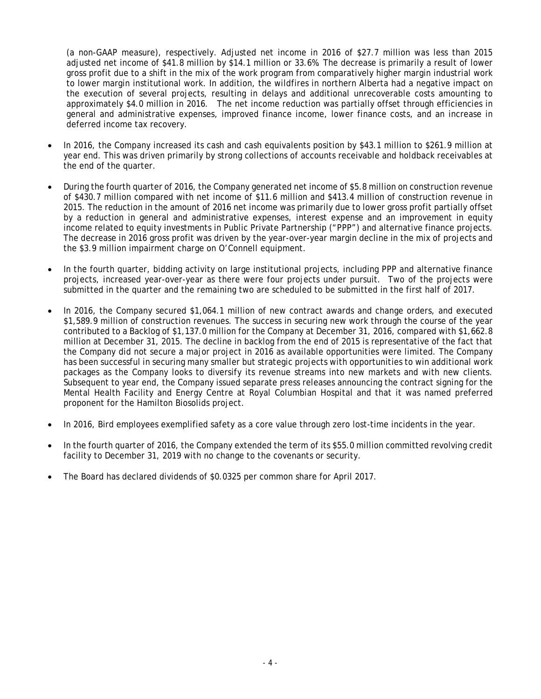(a non-GAAP measure), respectively. Adjusted net income in 2016 of \$27.7 million was less than 2015 adjusted net income of \$41.8 million by \$14.1 million or 33.6%. The decrease is primarily a result of lower gross profit due to a shift in the mix of the work program from comparatively higher margin industrial work to lower margin institutional work. In addition, the wildfires in northern Alberta had a negative impact on the execution of several projects, resulting in delays and additional unrecoverable costs amounting to approximately \$4.0 million in 2016. The net income reduction was partially offset through efficiencies in general and administrative expenses, improved finance income, lower finance costs, and an increase in deferred income tax recovery.

- In 2016, the Company increased its cash and cash equivalents position by \$43.1 million to \$261.9 million at year end. This was driven primarily by strong collections of accounts receivable and holdback receivables at the end of the quarter.
- During the fourth quarter of 2016, the Company generated net income of \$5.8 million on construction revenue of \$430.7 million compared with net income of \$11.6 million and \$413.4 million of construction revenue in 2015. The reduction in the amount of 2016 net income was primarily due to lower gross profit partially offset by a reduction in general and administrative expenses, interest expense and an improvement in equity income related to equity investments in Public Private Partnership ("PPP") and alternative finance projects. The decrease in 2016 gross profit was driven by the year-over-year margin decline in the mix of projects and the \$3.9 million impairment charge on O'Connell equipment.
- In the fourth quarter, bidding activity on large institutional projects, including PPP and alternative finance projects, increased year-over-year as there were four projects under pursuit. Two of the projects were submitted in the quarter and the remaining two are scheduled to be submitted in the first half of 2017.
- In 2016, the Company secured \$1,064.1 million of new contract awards and change orders, and executed \$1,589.9 million of construction revenues. The success in securing new work through the course of the year contributed to a Backlog of \$1,137.0 million for the Company at December 31, 2016, compared with \$1,662.8 million at December 31, 2015. The decline in backlog from the end of 2015 is representative of the fact that the Company did not secure a major project in 2016 as available opportunities were limited. The Company has been successful in securing many smaller but strategic projects with opportunities to win additional work packages as the Company looks to diversify its revenue streams into new markets and with new clients. Subsequent to year end, the Company issued separate press releases announcing the contract signing for the Mental Health Facility and Energy Centre at Royal Columbian Hospital and that it was named preferred proponent for the Hamilton Biosolids project.
- In 2016, Bird employees exemplified safety as a core value through zero lost-time incidents in the year.
- In the fourth quarter of 2016, the Company extended the term of its \$55.0 million committed revolving credit facility to December 31, 2019 with no change to the covenants or security.
- The Board has declared dividends of \$0.0325 per common share for April 2017.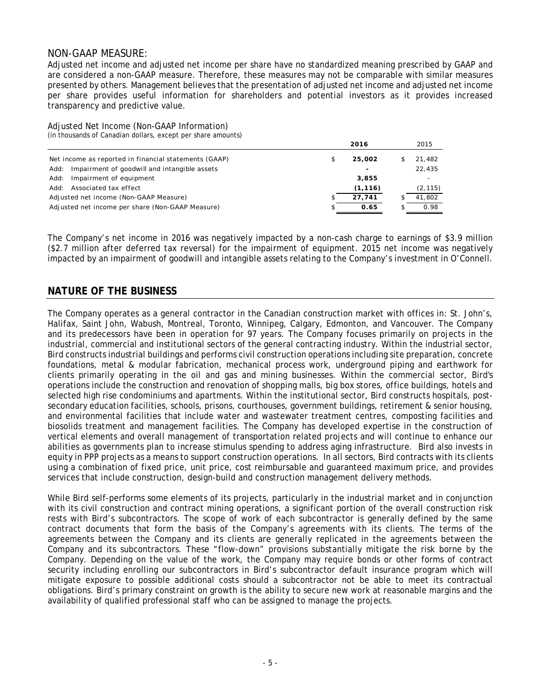### NON-GAAP MEASURE:

Adjusted net income and adjusted net income per share have no standardized meaning prescribed by GAAP and are considered a non-GAAP measure. Therefore, these measures may not be comparable with similar measures presented by others. Management believes that the presentation of adjusted net income and adjusted net income per share provides useful information for shareholders and potential investors as it provides increased transparency and predictive value.

Adjusted Net Income (Non-GAAP Information) (in thousands of Canadian dollars, except per share amounts)

|      |                                                       |    | 2016                     | 2015     |
|------|-------------------------------------------------------|----|--------------------------|----------|
|      | Net income as reported in financial statements (GAAP) | \$ | 25,002                   | 21,482   |
| Add: | Impairment of goodwill and intangible assets          |    | $\overline{\phantom{a}}$ | 22,435   |
| Add: | Impairment of equipment                               |    | 3,855                    |          |
|      | Add: Associated tax effect                            |    | (1, 116)                 | (2, 115) |
|      | Adjusted net income (Non-GAAP Measure)                |    | 27.741                   | 41.802   |
|      | Adjusted net income per share (Non-GAAP Measure)      | S  | 0.65                     | 0.98     |

The Company's net income in 2016 was negatively impacted by a non-cash charge to earnings of \$3.9 million (\$2.7 million after deferred tax reversal) for the impairment of equipment. 2015 net income was negatively impacted by an impairment of goodwill and intangible assets relating to the Company's investment in O'Connell.

## **NATURE OF THE BUSINESS**

The Company operates as a general contractor in the Canadian construction market with offices in: St. John's, Halifax, Saint John, Wabush, Montreal, Toronto, Winnipeg, Calgary, Edmonton, and Vancouver. The Company and its predecessors have been in operation for 97 years. The Company focuses primarily on projects in the industrial, commercial and institutional sectors of the general contracting industry. Within the industrial sector, Bird constructs industrial buildings and performs civil construction operations including site preparation, concrete foundations, metal & modular fabrication, mechanical process work, underground piping and earthwork for clients primarily operating in the oil and gas and mining businesses. Within the commercial sector, Bird's operations include the construction and renovation of shopping malls, big box stores, office buildings, hotels and selected high rise condominiums and apartments. Within the institutional sector, Bird constructs hospitals, postsecondary education facilities, schools, prisons, courthouses, government buildings, retirement & senior housing, and environmental facilities that include water and wastewater treatment centres, composting facilities and biosolids treatment and management facilities. The Company has developed expertise in the construction of vertical elements and overall management of transportation related projects and will continue to enhance our abilities as governments plan to increase stimulus spending to address aging infrastructure. Bird also invests in equity in PPP projects as a means to support construction operations. In all sectors, Bird contracts with its clients using a combination of fixed price, unit price, cost reimbursable and guaranteed maximum price, and provides services that include construction, design-build and construction management delivery methods.

While Bird self-performs some elements of its projects, particularly in the industrial market and in conjunction with its civil construction and contract mining operations, a significant portion of the overall construction risk rests with Bird's subcontractors. The scope of work of each subcontractor is generally defined by the same contract documents that form the basis of the Company's agreements with its clients. The terms of the agreements between the Company and its clients are generally replicated in the agreements between the Company and its subcontractors. These "flow-down" provisions substantially mitigate the risk borne by the Company. Depending on the value of the work, the Company may require bonds or other forms of contract security including enrolling our subcontractors in Bird's subcontractor default insurance program which will mitigate exposure to possible additional costs should a subcontractor not be able to meet its contractual obligations. Bird's primary constraint on growth is the ability to secure new work at reasonable margins and the availability of qualified professional staff who can be assigned to manage the projects.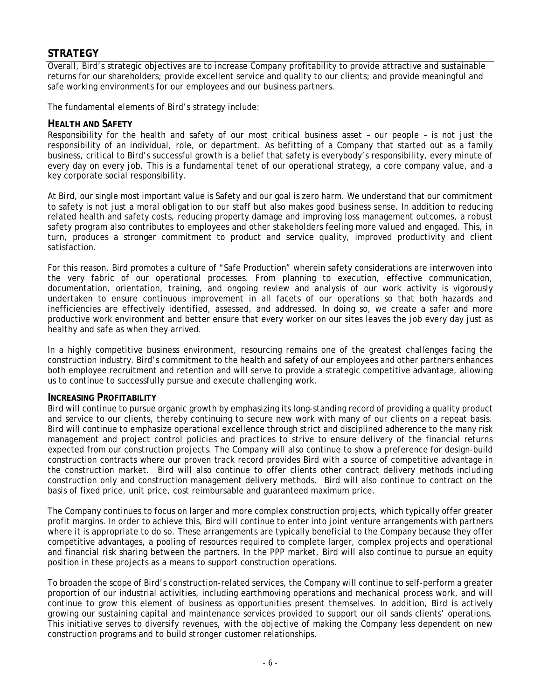# **STRATEGY**

Overall, Bird's strategic objectives are to increase Company profitability to provide attractive and sustainable returns for our shareholders; provide excellent service and quality to our clients; and provide meaningful and safe working environments for our employees and our business partners.

The fundamental elements of Bird's strategy include:

### **HEALTH AND SAFETY**

Responsibility for the health and safety of our most critical business asset – our people – is not just the responsibility of an individual, role, or department. As befitting of a Company that started out as a family business, critical to Bird's successful growth is a belief that safety is everybody's responsibility, every minute of every day on every job. This is a fundamental tenet of our operational strategy, a core company value, and a key corporate social responsibility.

At Bird, our single most important value is Safety and our goal is zero harm. We understand that our commitment to safety is not just a moral obligation to our staff but also makes good business sense. In addition to reducing related health and safety costs, reducing property damage and improving loss management outcomes, a robust safety program also contributes to employees and other stakeholders feeling more valued and engaged. This, in turn, produces a stronger commitment to product and service quality, improved productivity and client satisfaction.

For this reason, Bird promotes a culture of "Safe Production" wherein safety considerations are interwoven into the very fabric of our operational processes. From planning to execution, effective communication, documentation, orientation, training, and ongoing review and analysis of our work activity is vigorously undertaken to ensure continuous improvement in all facets of our operations so that both hazards and inefficiencies are effectively identified, assessed, and addressed. In doing so, we create a safer and more productive work environment and better ensure that every worker on our sites leaves the job every day just as healthy and safe as when they arrived.

In a highly competitive business environment, resourcing remains one of the greatest challenges facing the construction industry. Bird's commitment to the health and safety of our employees and other partners enhances both employee recruitment and retention and will serve to provide a strategic competitive advantage, allowing us to continue to successfully pursue and execute challenging work.

### **INCREASING PROFITABILITY**

Bird will continue to pursue organic growth by emphasizing its long-standing record of providing a quality product and service to our clients, thereby continuing to secure new work with many of our clients on a repeat basis. Bird will continue to emphasize operational excellence through strict and disciplined adherence to the many risk management and project control policies and practices to strive to ensure delivery of the financial returns expected from our construction projects. The Company will also continue to show a preference for design-build construction contracts where our proven track record provides Bird with a source of competitive advantage in the construction market. Bird will also continue to offer clients other contract delivery methods including construction only and construction management delivery methods. Bird will also continue to contract on the basis of fixed price, unit price, cost reimbursable and guaranteed maximum price.

The Company continues to focus on larger and more complex construction projects, which typically offer greater profit margins. In order to achieve this, Bird will continue to enter into joint venture arrangements with partners where it is appropriate to do so. These arrangements are typically beneficial to the Company because they offer competitive advantages, a pooling of resources required to complete larger, complex projects and operational and financial risk sharing between the partners. In the PPP market, Bird will also continue to pursue an equity position in these projects as a means to support construction operations.

To broaden the scope of Bird's construction-related services, the Company will continue to self-perform a greater proportion of our industrial activities, including earthmoving operations and mechanical process work, and will continue to grow this element of business as opportunities present themselves. In addition, Bird is actively growing our sustaining capital and maintenance services provided to support our oil sands clients' operations. This initiative serves to diversify revenues, with the objective of making the Company less dependent on new construction programs and to build stronger customer relationships.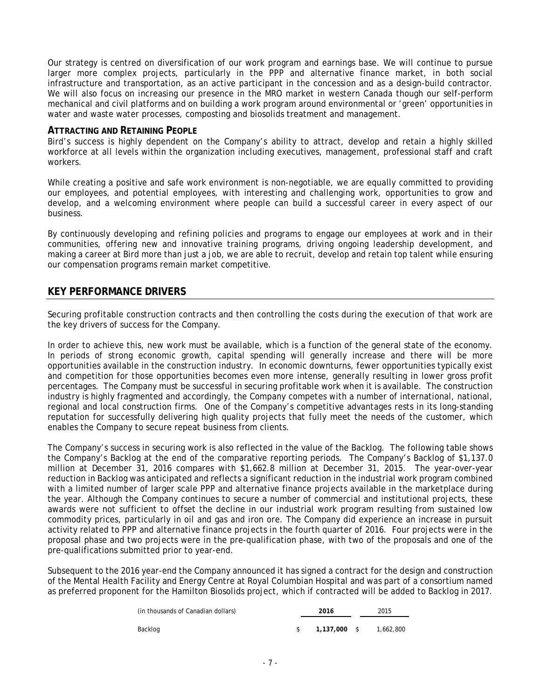Our strategy is centred on diversification of our work program and earnings base. We will continue to pursue larger more complex projects, particularly in the PPP and alternative finance market, in both social infrastructure and transportation, as an active participant in the concession and as a design-build contractor. We will also focus on increasing our presence in the MRO market in western Canada though our self-perform mechanical and civil platforms and on building a work program around environmental or 'green' opportunities in water and waste water processes, composting and biosolids treatment and management.

#### **ATTRACTING AND RETAINING PEOPLE**

Bird's success is highly dependent on the Company's ability to attract, develop and retain a highly skilled workforce at all levels within the organization including executives, management, professional staff and craft workers.

While creating a positive and safe work environment is non-negotiable, we are equally committed to providing our employees, and potential employees, with interesting and challenging work, opportunities to grow and develop, and a welcoming environment where people can build a successful career in every aspect of our business.

By continuously developing and refining policies and programs to engage our employees at work and in their communities, offering new and innovative training programs, driving ongoing leadership development, and making a career at Bird more than just a job, we are able to recruit, develop and retain top talent while ensuring our compensation programs remain market competitive.

## **KEY PERFORMANCE DRIVERS**

Securing profitable construction contracts and then controlling the costs during the execution of that work are the key drivers of success for the Company.

In order to achieve this, new work must be available, which is a function of the general state of the economy. In periods of strong economic growth, capital spending will generally increase and there will be more opportunities available in the construction industry. In economic downturns, fewer opportunities typically exist and competition for those opportunities becomes even more intense, generally resulting in lower gross profit percentages. The Company must be successful in securing profitable work when it is available. The construction industry is highly fragmented and accordingly, the Company competes with a number of international, national, regional and local construction firms. One of the Company's competitive advantages rests in its long-standing reputation for successfully delivering high quality projects that fully meet the needs of the customer, which enables the Company to secure repeat business from clients.

The Company's success in securing work is also reflected in the value of the Backlog. The following table shows the Company's Backlog at the end of the comparative reporting periods. The Company's Backlog of \$1,137.0 million at December 31, 2016 compares with \$1,662.8 million at December 31, 2015. The year-over-year reduction in Backlog was anticipated and reflects a significant reduction in the industrial work program combined with a limited number of larger scale PPP and alternative finance projects available in the marketplace during the year. Although the Company continues to secure a number of commercial and institutional projects, these awards were not sufficient to offset the decline in our industrial work program resulting from sustained low commodity prices, particularly in oil and gas and iron ore. The Company did experience an increase in pursuit activity related to PPP and alternative finance projects in the fourth quarter of 2016. Four projects were in the proposal phase and two projects were in the pre-qualification phase, with two of the proposals and one of the pre-qualifications submitted prior to year-end.

Subsequent to the 2016 year-end the Company announced it has signed a contract for the design and construction of the Mental Health Facility and Energy Centre at Royal Columbian Hospital and was part of a consortium named as preferred proponent for the Hamilton Biosolids project, which if contracted will be added to Backlog in 2017.

| (in thousands of Canadian dollars) | 2016 |              |  | 2015      |
|------------------------------------|------|--------------|--|-----------|
| Backlog                            |      | 1.137.000 \$ |  | 1,662,800 |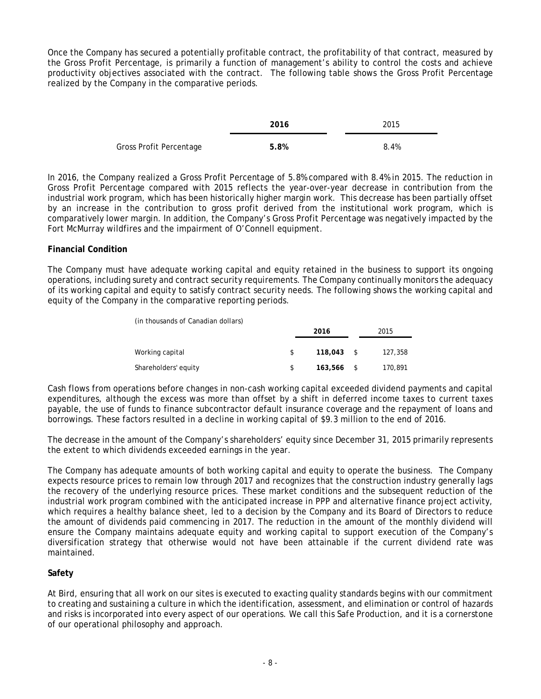Once the Company has secured a potentially profitable contract, the profitability of that contract, measured by the Gross Profit Percentage, is primarily a function of management's ability to control the costs and achieve productivity objectives associated with the contract. The following table shows the Gross Profit Percentage realized by the Company in the comparative periods.

|                         | 2016 | 2015 |
|-------------------------|------|------|
| Gross Profit Percentage | 5.8% | 8.4% |

In 2016, the Company realized a Gross Profit Percentage of 5.8% compared with 8.4% in 2015. The reduction in Gross Profit Percentage compared with 2015 reflects the year-over-year decrease in contribution from the industrial work program, which has been historically higher margin work. This decrease has been partially offset by an increase in the contribution to gross profit derived from the institutional work program, which is comparatively lower margin. In addition, the Company's Gross Profit Percentage was negatively impacted by the Fort McMurray wildfires and the impairment of O'Connell equipment.

### **Financial Condition**

The Company must have adequate working capital and equity retained in the business to support its ongoing operations, including surety and contract security requirements. The Company continually monitors the adequacy of its working capital and equity to satisfy contract security needs. The following shows the working capital and equity of the Company in the comparative reporting periods.

| (in thousands of Canadian dollars) |    |              |      |         |  |
|------------------------------------|----|--------------|------|---------|--|
|                                    |    | 2016         | 2015 |         |  |
|                                    |    |              |      |         |  |
| Working capital                    | S. | 118,043      | S S  | 127,358 |  |
| Shareholders' equity               |    | $163.566$ \$ |      | 170,891 |  |

Cash flows from operations before changes in non-cash working capital exceeded dividend payments and capital expenditures, although the excess was more than offset by a shift in deferred income taxes to current taxes payable, the use of funds to finance subcontractor default insurance coverage and the repayment of loans and borrowings. These factors resulted in a decline in working capital of \$9.3 million to the end of 2016.

The decrease in the amount of the Company's shareholders' equity since December 31, 2015 primarily represents the extent to which dividends exceeded earnings in the year.

The Company has adequate amounts of both working capital and equity to operate the business. The Company expects resource prices to remain low through 2017 and recognizes that the construction industry generally lags the recovery of the underlying resource prices. These market conditions and the subsequent reduction of the industrial work program combined with the anticipated increase in PPP and alternative finance project activity, which requires a healthy balance sheet, led to a decision by the Company and its Board of Directors to reduce the amount of dividends paid commencing in 2017. The reduction in the amount of the monthly dividend will ensure the Company maintains adequate equity and working capital to support execution of the Company's diversification strategy that otherwise would not have been attainable if the current dividend rate was maintained.

### **Safety**

At Bird, ensuring that all work on our sites is executed to exacting quality standards begins with our commitment to creating and sustaining a culture in which the identification, assessment, and elimination or control of hazards and risks is incorporated into every aspect of our operations. We call this *Safe Production,* and it is a cornerstone of our operational philosophy and approach.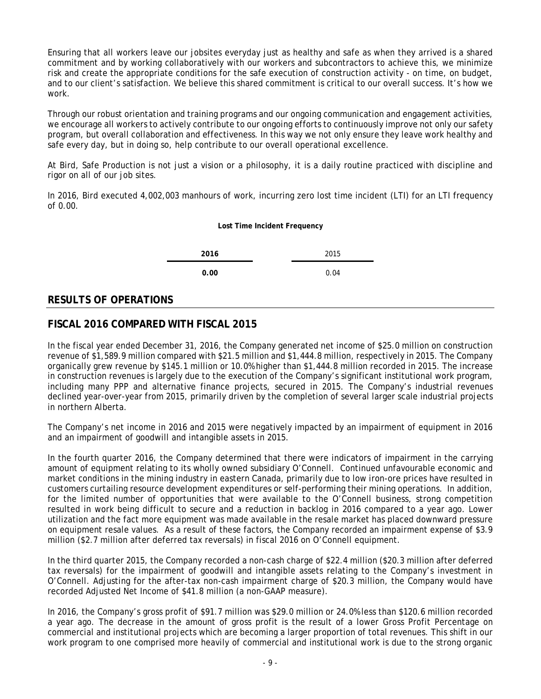Ensuring that all workers leave our jobsites everyday just as healthy and safe as when they arrived is a shared commitment and by working collaboratively with our workers and subcontractors to achieve this, we minimize risk and create the appropriate conditions for the safe execution of construction activity - on time, on budget, and to our client's satisfaction. We believe this shared commitment is critical to our overall success. It's how we work.

Through our robust orientation and training programs and our ongoing communication and engagement activities, we encourage all workers to actively contribute to our ongoing efforts to continuously improve not only our safety program, but overall collaboration and effectiveness. In this way we not only ensure they leave work healthy and safe every day, but in doing so, help contribute to our overall operational excellence.

At Bird, Safe Production is not just a vision or a philosophy, it is a daily routine practiced with discipline and rigor on all of our job sites.

In 2016, Bird executed 4,002,003 manhours of work, incurring zero lost time incident (LTI) for an LTI frequency of 0.00.

#### **Lost Time Incident Frequency**

**2016** 2015

**0.00** 0.04

# **RESULTS OF OPERATIONS**

# **FISCAL 2016 COMPARED WITH FISCAL 2015**

In the fiscal year ended December 31, 2016, the Company generated net income of \$25.0 million on construction revenue of \$1,589.9 million compared with \$21.5 million and \$1,444.8 million, respectively in 2015. The Company organically grew revenue by \$145.1 million or 10.0% higher than \$1,444.8 million recorded in 2015. The increase in construction revenues is largely due to the execution of the Company's significant institutional work program, including many PPP and alternative finance projects, secured in 2015. The Company's industrial revenues declined year-over-year from 2015, primarily driven by the completion of several larger scale industrial projects in northern Alberta.

The Company's net income in 2016 and 2015 were negatively impacted by an impairment of equipment in 2016 and an impairment of goodwill and intangible assets in 2015.

In the fourth quarter 2016, the Company determined that there were indicators of impairment in the carrying amount of equipment relating to its wholly owned subsidiary O'Connell. Continued unfavourable economic and market conditions in the mining industry in eastern Canada, primarily due to low iron-ore prices have resulted in customers curtailing resource development expenditures or self-performing their mining operations. In addition, for the limited number of opportunities that were available to the O'Connell business, strong competition resulted in work being difficult to secure and a reduction in backlog in 2016 compared to a year ago. Lower utilization and the fact more equipment was made available in the resale market has placed downward pressure on equipment resale values. As a result of these factors, the Company recorded an impairment expense of \$3.9 million (\$2.7 million after deferred tax reversals) in fiscal 2016 on O'Connell equipment.

In the third quarter 2015, the Company recorded a non-cash charge of \$22.4 million (\$20.3 million after deferred tax reversals) for the impairment of goodwill and intangible assets relating to the Company's investment in O'Connell. Adjusting for the after-tax non-cash impairment charge of \$20.3 million, the Company would have recorded Adjusted Net Income of \$41.8 million (a non-GAAP measure).

In 2016, the Company's gross profit of \$91.7 million was \$29.0 million or 24.0% less than \$120.6 million recorded a year ago. The decrease in the amount of gross profit is the result of a lower Gross Profit Percentage on commercial and institutional projects which are becoming a larger proportion of total revenues. This shift in our work program to one comprised more heavily of commercial and institutional work is due to the strong organic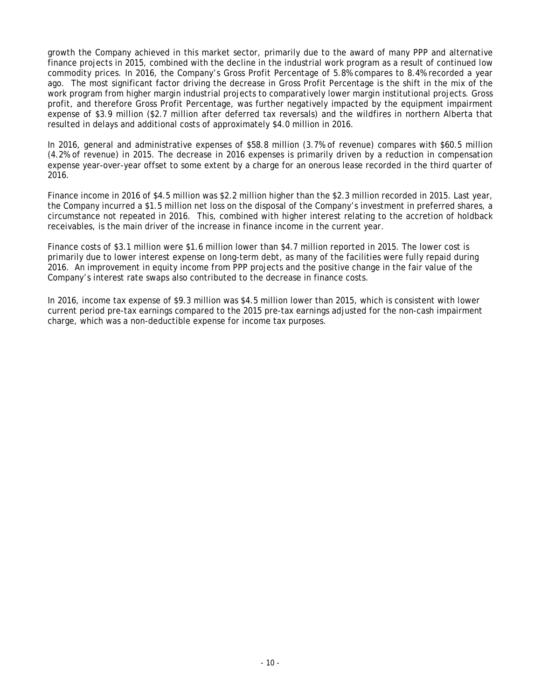growth the Company achieved in this market sector, primarily due to the award of many PPP and alternative finance projects in 2015, combined with the decline in the industrial work program as a result of continued low commodity prices. In 2016, the Company's Gross Profit Percentage of 5.8% compares to 8.4% recorded a year ago. The most significant factor driving the decrease in Gross Profit Percentage is the shift in the mix of the work program from higher margin industrial projects to comparatively lower margin institutional projects. Gross profit, and therefore Gross Profit Percentage, was further negatively impacted by the equipment impairment expense of \$3.9 million (\$2.7 million after deferred tax reversals) and the wildfires in northern Alberta that resulted in delays and additional costs of approximately \$4.0 million in 2016.

In 2016, general and administrative expenses of \$58.8 million (3.7% of revenue) compares with \$60.5 million (4.2% of revenue) in 2015. The decrease in 2016 expenses is primarily driven by a reduction in compensation expense year-over-year offset to some extent by a charge for an onerous lease recorded in the third quarter of 2016.

Finance income in 2016 of \$4.5 million was \$2.2 million higher than the \$2.3 million recorded in 2015. Last year, the Company incurred a \$1.5 million net loss on the disposal of the Company's investment in preferred shares, a circumstance not repeated in 2016. This, combined with higher interest relating to the accretion of holdback receivables, is the main driver of the increase in finance income in the current year.

Finance costs of \$3.1 million were \$1.6 million lower than \$4.7 million reported in 2015. The lower cost is primarily due to lower interest expense on long-term debt, as many of the facilities were fully repaid during 2016. An improvement in equity income from PPP projects and the positive change in the fair value of the Company's interest rate swaps also contributed to the decrease in finance costs.

In 2016, income tax expense of \$9.3 million was \$4.5 million lower than 2015, which is consistent with lower current period pre-tax earnings compared to the 2015 pre-tax earnings adjusted for the non-cash impairment charge, which was a non-deductible expense for income tax purposes.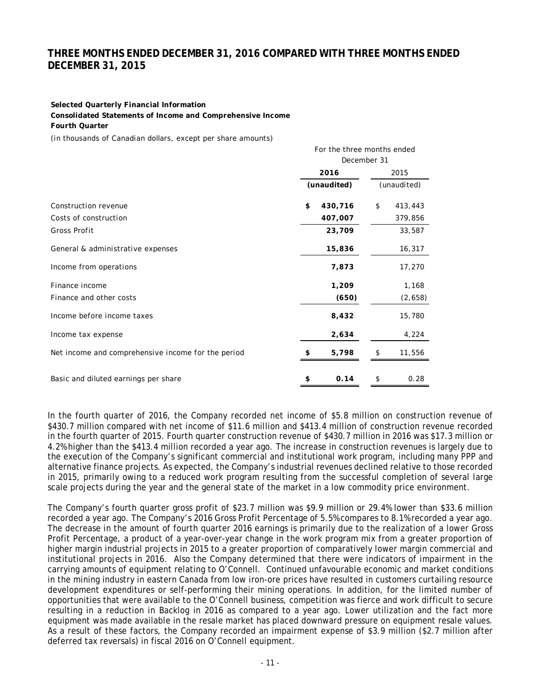# **THREE MONTHS ENDED DECEMBER 31, 2016 COMPARED WITH THREE MONTHS ENDED DECEMBER 31, 2015**

For the three months ended

#### **Selected Quarterly Financial Information**

**Consolidated Statements of Income and Comprehensive Income**

**Fourth Quarter**

(in thousands of Canadian dollars, except per share amounts)

|                                                    | December 31 |         |    |             |  |
|----------------------------------------------------|-------------|---------|----|-------------|--|
|                                                    | 2016        |         |    | 2015        |  |
|                                                    | (unaudited) |         |    | (unaudited) |  |
| Construction revenue                               | \$          | 430,716 | \$ | 413,443     |  |
| Costs of construction                              |             | 407,007 |    | 379,856     |  |
| Gross Profit                                       |             | 23,709  |    | 33,587      |  |
| General & administrative expenses                  |             | 15,836  |    | 16,317      |  |
| Income from operations                             |             | 7,873   |    | 17,270      |  |
| Finance income                                     |             | 1,209   |    | 1,168       |  |
| Finance and other costs                            |             | (650)   |    | (2,658)     |  |
| Income before income taxes                         |             | 8,432   |    | 15,780      |  |
| Income tax expense                                 |             | 2,634   |    | 4,224       |  |
| Net income and comprehensive income for the period |             | 5,798   | \$ | 11,556      |  |
| Basic and diluted earnings per share               | \$          | 0.14    | \$ | 0.28        |  |

In the fourth quarter of 2016, the Company recorded net income of \$5.8 million on construction revenue of \$430.7 million compared with net income of \$11.6 million and \$413.4 million of construction revenue recorded in the fourth quarter of 2015. Fourth quarter construction revenue of \$430.7 million in 2016 was \$17.3 million or 4.2% higher than the \$413.4 million recorded a year ago. The increase in construction revenues is largely due to the execution of the Company's significant commercial and institutional work program, including many PPP and alternative finance projects. As expected, the Company's industrial revenues declined relative to those recorded in 2015, primarily owing to a reduced work program resulting from the successful completion of several large scale projects during the year and the general state of the market in a low commodity price environment.

The Company's fourth quarter gross profit of \$23.7 million was \$9.9 million or 29.4% lower than \$33.6 million recorded a year ago. The Company's 2016 Gross Profit Percentage of 5.5% compares to 8.1% recorded a year ago. The decrease in the amount of fourth quarter 2016 earnings is primarily due to the realization of a lower Gross Profit Percentage, a product of a year-over-year change in the work program mix from a greater proportion of higher margin industrial projects in 2015 to a greater proportion of comparatively lower margin commercial and institutional projects in 2016. Also the Company determined that there were indicators of impairment in the carrying amounts of equipment relating to O'Connell. Continued unfavourable economic and market conditions in the mining industry in eastern Canada from low iron-ore prices have resulted in customers curtailing resource development expenditures or self-performing their mining operations. In addition, for the limited number of opportunities that were available to the O'Connell business, competition was fierce and work difficult to secure resulting in a reduction in Backlog in 2016 as compared to a year ago. Lower utilization and the fact more equipment was made available in the resale market has placed downward pressure on equipment resale values. As a result of these factors, the Company recorded an impairment expense of \$3.9 million (\$2.7 million after deferred tax reversals) in fiscal 2016 on O'Connell equipment.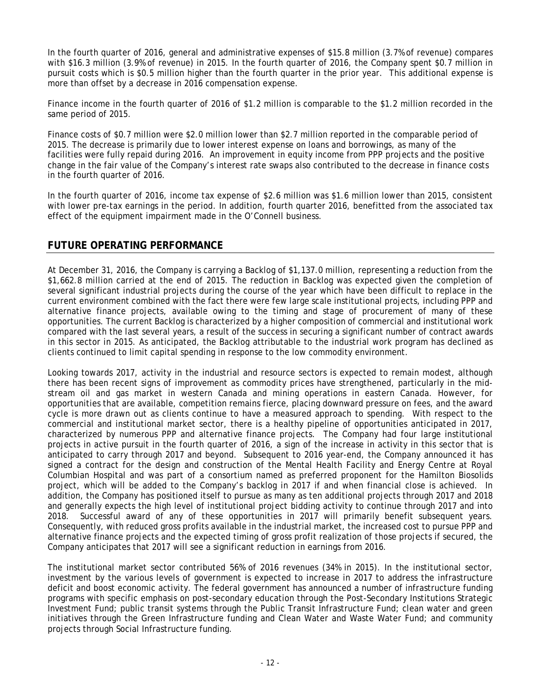In the fourth quarter of 2016, general and administrative expenses of \$15.8 million (3.7% of revenue) compares with \$16.3 million (3.9% of revenue) in 2015. In the fourth quarter of 2016, the Company spent \$0.7 million in pursuit costs which is \$0.5 million higher than the fourth quarter in the prior year. This additional expense is more than offset by a decrease in 2016 compensation expense.

Finance income in the fourth quarter of 2016 of \$1.2 million is comparable to the \$1.2 million recorded in the same period of 2015.

Finance costs of \$0.7 million were \$2.0 million lower than \$2.7 million reported in the comparable period of 2015. The decrease is primarily due to lower interest expense on loans and borrowings, as many of the facilities were fully repaid during 2016. An improvement in equity income from PPP projects and the positive change in the fair value of the Company's interest rate swaps also contributed to the decrease in finance costs in the fourth quarter of 2016.

In the fourth quarter of 2016, income tax expense of \$2.6 million was \$1.6 million lower than 2015, consistent with lower pre-tax earnings in the period. In addition, fourth quarter 2016, benefitted from the associated tax effect of the equipment impairment made in the O'Connell business.

## **FUTURE OPERATING PERFORMANCE**

At December 31, 2016, the Company is carrying a Backlog of \$1,137.0 million, representing a reduction from the \$1,662.8 million carried at the end of 2015. The reduction in Backlog was expected given the completion of several significant industrial projects during the course of the year which have been difficult to replace in the current environment combined with the fact there were few large scale institutional projects, including PPP and alternative finance projects, available owing to the timing and stage of procurement of many of these opportunities. The current Backlog is characterized by a higher composition of commercial and institutional work compared with the last several years, a result of the success in securing a significant number of contract awards in this sector in 2015. As anticipated, the Backlog attributable to the industrial work program has declined as clients continued to limit capital spending in response to the low commodity environment.

Looking towards 2017, activity in the industrial and resource sectors is expected to remain modest, although there has been recent signs of improvement as commodity prices have strengthened, particularly in the midstream oil and gas market in western Canada and mining operations in eastern Canada. However, for opportunities that are available, competition remains fierce, placing downward pressure on fees, and the award cycle is more drawn out as clients continue to have a measured approach to spending. With respect to the commercial and institutional market sector, there is a healthy pipeline of opportunities anticipated in 2017, characterized by numerous PPP and alternative finance projects. The Company had four large institutional projects in active pursuit in the fourth quarter of 2016, a sign of the increase in activity in this sector that is anticipated to carry through 2017 and beyond. Subsequent to 2016 year-end, the Company announced it has signed a contract for the design and construction of the Mental Health Facility and Energy Centre at Royal Columbian Hospital and was part of a consortium named as preferred proponent for the Hamilton Biosolids project, which will be added to the Company's backlog in 2017 if and when financial close is achieved. In addition, the Company has positioned itself to pursue as many as ten additional projects through 2017 and 2018 and generally expects the high level of institutional project bidding activity to continue through 2017 and into 2018. Successful award of any of these opportunities in 2017 will primarily benefit subsequent years. Consequently, with reduced gross profits available in the industrial market, the increased cost to pursue PPP and alternative finance projects and the expected timing of gross profit realization of those projects if secured, the Company anticipates that 2017 will see a significant reduction in earnings from 2016.

The institutional market sector contributed 56% of 2016 revenues (34% in 2015). In the institutional sector, investment by the various levels of government is expected to increase in 2017 to address the infrastructure deficit and boost economic activity. The federal government has announced a number of infrastructure funding programs with specific emphasis on post-secondary education through the Post-Secondary Institutions Strategic Investment Fund; public transit systems through the Public Transit Infrastructure Fund; clean water and green initiatives through the Green Infrastructure funding and Clean Water and Waste Water Fund; and community projects through Social Infrastructure funding.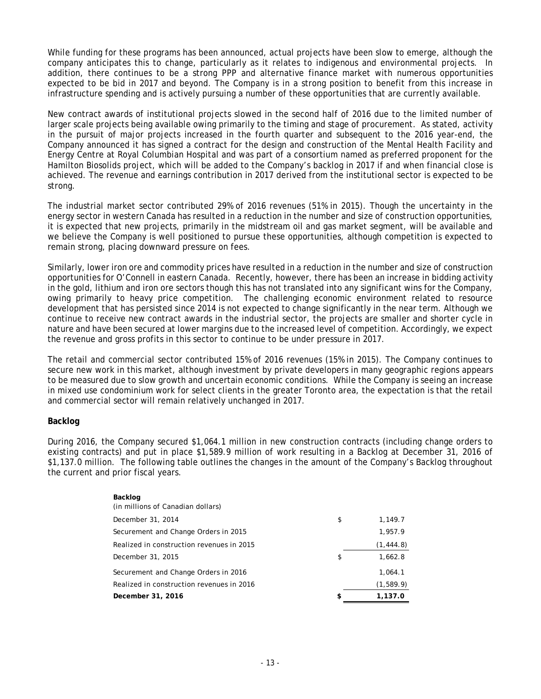While funding for these programs has been announced, actual projects have been slow to emerge, although the company anticipates this to change, particularly as it relates to indigenous and environmental projects. In addition, there continues to be a strong PPP and alternative finance market with numerous opportunities expected to be bid in 2017 and beyond. The Company is in a strong position to benefit from this increase in infrastructure spending and is actively pursuing a number of these opportunities that are currently available.

New contract awards of institutional projects slowed in the second half of 2016 due to the limited number of larger scale projects being available owing primarily to the timing and stage of procurement. As stated, activity in the pursuit of major projects increased in the fourth quarter and subsequent to the 2016 year-end, the Company announced it has signed a contract for the design and construction of the Mental Health Facility and Energy Centre at Royal Columbian Hospital and was part of a consortium named as preferred proponent for the Hamilton Biosolids project, which will be added to the Company's backlog in 2017 if and when financial close is achieved. The revenue and earnings contribution in 2017 derived from the institutional sector is expected to be strong.

The industrial market sector contributed 29% of 2016 revenues (51% in 2015). Though the uncertainty in the energy sector in western Canada has resulted in a reduction in the number and size of construction opportunities, it is expected that new projects, primarily in the midstream oil and gas market segment, will be available and we believe the Company is well positioned to pursue these opportunities, although competition is expected to remain strong, placing downward pressure on fees.

Similarly, lower iron ore and commodity prices have resulted in a reduction in the number and size of construction opportunities for O'Connell in eastern Canada. Recently, however, there has been an increase in bidding activity in the gold, lithium and iron ore sectors though this has not translated into any significant wins for the Company, owing primarily to heavy price competition. The challenging economic environment related to resource development that has persisted since 2014 is not expected to change significantly in the near term. Although we continue to receive new contract awards in the industrial sector, the projects are smaller and shorter cycle in nature and have been secured at lower margins due to the increased level of competition. Accordingly, we expect the revenue and gross profits in this sector to continue to be under pressure in 2017.

The retail and commercial sector contributed 15% of 2016 revenues (15% in 2015). The Company continues to secure new work in this market, although investment by private developers in many geographic regions appears to be measured due to slow growth and uncertain economic conditions. While the Company is seeing an increase in mixed use condominium work for select clients in the greater Toronto area, the expectation is that the retail and commercial sector will remain relatively unchanged in 2017.

### **Backlog**

During 2016, the Company secured \$1,064.1 million in new construction contracts (including change orders to existing contracts) and put in place \$1,589.9 million of work resulting in a Backlog at December 31, 2016 of \$1,137.0 million. The following table outlines the changes in the amount of the Company's Backlog throughout the current and prior fiscal years.

| Backlog                                   |               |
|-------------------------------------------|---------------|
| (in millions of Canadian dollars)         |               |
| December 31, 2014                         | \$<br>1,149.7 |
| Securement and Change Orders in 2015      | 1,957.9       |
| Realized in construction revenues in 2015 | (1, 444.8)    |
| December 31, 2015                         | \$<br>1,662.8 |
| Securement and Change Orders in 2016      | 1,064.1       |
| Realized in construction revenues in 2016 | (1,589.9)     |
| December 31, 2016                         | \$<br>1.137.0 |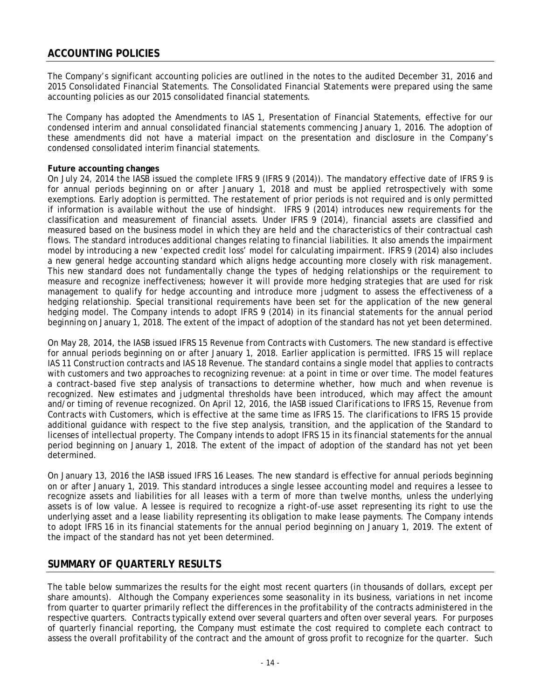The Company's significant accounting policies are outlined in the notes to the audited December 31, 2016 and 2015 Consolidated Financial Statements. The Consolidated Financial Statements were prepared using the same accounting policies as our 2015 consolidated financial statements.

The Company has adopted the Amendments to IAS 1, Presentation of Financial Statements, effective for our condensed interim and annual consolidated financial statements commencing January 1, 2016. The adoption of these amendments did not have a material impact on the presentation and disclosure in the Company's condensed consolidated interim financial statements.

#### **Future accounting changes**

On July 24, 2014 the IASB issued the complete IFRS 9 (IFRS 9 (2014)). The mandatory effective date of IFRS 9 is for annual periods beginning on or after January 1, 2018 and must be applied retrospectively with some exemptions. Early adoption is permitted. The restatement of prior periods is not required and is only permitted if information is available without the use of hindsight. IFRS 9 (2014) introduces new requirements for the classification and measurement of financial assets. Under IFRS 9 (2014), financial assets are classified and measured based on the business model in which they are held and the characteristics of their contractual cash flows. The standard introduces additional changes relating to financial liabilities. It also amends the impairment model by introducing a new 'expected credit loss' model for calculating impairment. IFRS 9 (2014) also includes a new general hedge accounting standard which aligns hedge accounting more closely with risk management. This new standard does not fundamentally change the types of hedging relationships or the requirement to measure and recognize ineffectiveness; however it will provide more hedging strategies that are used for risk management to qualify for hedge accounting and introduce more judgment to assess the effectiveness of a hedging relationship. Special transitional requirements have been set for the application of the new general hedging model. The Company intends to adopt IFRS 9 (2014) in its financial statements for the annual period beginning on January 1, 2018. The extent of the impact of adoption of the standard has not yet been determined.

On May 28, 2014, the IASB issued IFRS 15 *Revenue from Contracts with Customers.* The new standard is effective for annual periods beginning on or after January 1, 2018. Earlier application is permitted. IFRS 15 will replace IAS 11 *Construction contracts* and IAS 18 *Revenue.* The standard contains a single model that applies to contracts with customers and two approaches to recognizing revenue: at a point in time or over time. The model features a contract-based five step analysis of transactions to determine whether, how much and when revenue is recognized. New estimates and judgmental thresholds have been introduced, which may affect the amount and/or timing of revenue recognized. On April 12, 2016, the IASB issued *Clarifications to IFRS 15, Revenue from Contracts with Customers,* which is effective at the same time as IFRS 15. The clarifications to IFRS 15 provide additional guidance with respect to the five step analysis, transition, and the application of the Standard to licenses of intellectual property. The Company intends to adopt IFRS 15 in its financial statements for the annual period beginning on January 1, 2018. The extent of the impact of adoption of the standard has not yet been determined.

On January 13, 2016 the IASB issued IFRS 16 Leases. The new standard is effective for annual periods beginning on or after January 1, 2019. This standard introduces a single lessee accounting model and requires a lessee to recognize assets and liabilities for all leases with a term of more than twelve months, unless the underlying assets is of low value. A lessee is required to recognize a right-of-use asset representing its right to use the underlying asset and a lease liability representing its obligation to make lease payments. The Company intends to adopt IFRS 16 in its financial statements for the annual period beginning on January 1, 2019. The extent of the impact of the standard has not yet been determined.

# **SUMMARY OF QUARTERLY RESULTS**

The table below summarizes the results for the eight most recent quarters (in thousands of dollars, except per share amounts). Although the Company experiences some seasonality in its business, variations in net income from quarter to quarter primarily reflect the differences in the profitability of the contracts administered in the respective quarters. Contracts typically extend over several quarters and often over several years. For purposes of quarterly financial reporting, the Company must estimate the cost required to complete each contract to assess the overall profitability of the contract and the amount of gross profit to recognize for the quarter. Such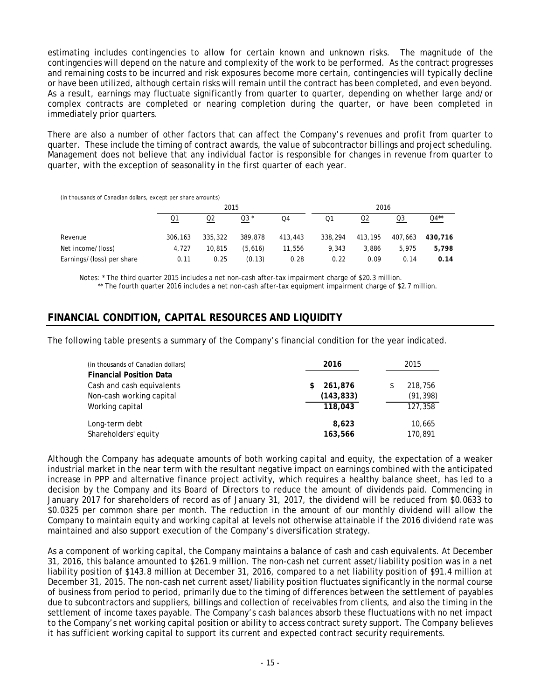estimating includes contingencies to allow for certain known and unknown risks. The magnitude of the contingencies will depend on the nature and complexity of the work to be performed. As the contract progresses and remaining costs to be incurred and risk exposures become more certain, contingencies will typically decline or have been utilized, although certain risks will remain until the contract has been completed, and even beyond. As a result, earnings may fluctuate significantly from quarter to quarter, depending on whether large and/or complex contracts are completed or nearing completion during the quarter, or have been completed in immediately prior quarters.

There are also a number of other factors that can affect the Company's revenues and profit from quarter to quarter. These include the timing of contract awards, the value of subcontractor billings and project scheduling. Management does not believe that any individual factor is responsible for changes in revenue from quarter to quarter, with the exception of seasonality in the first quarter of each year.

(in thousands of Canadian dollars, except per share amounts)

|                           | 2015    |         |         |         | 2016    |                |         |         |
|---------------------------|---------|---------|---------|---------|---------|----------------|---------|---------|
|                           | Q1      | Q2      | $Q3*$   | Q4      | Q1      | Q <sub>2</sub> | Q3      | $Q4**$  |
| Revenue                   | 306,163 | 335,322 | 389,878 | 413,443 | 338,294 | 413,195        | 407.663 | 430,716 |
| Net income/(loss)         | 4.727   | 10.815  | (5.616) | 11,556  | 9.343   | 3,886          | 5.975   | 5.798   |
| Earnings/(loss) per share | 0.11    | 0.25    | (0.13)  | 0.28    | 0.22    | 0.09           | 0.14    | 0.14    |

Notes: \* The third quarter 2015 includes a net non-cash after-tax impairment charge of \$20.3 million. \*\* The fourth quarter 2016 includes a net non-cash after-tax equipment impairment charge of \$2.7 million.

## **FINANCIAL CONDITION, CAPITAL RESOURCES AND LIQUIDITY**

The following table presents a summary of the Company's financial condition for the year indicated.

| (in thousands of Canadian dollars) | 2016         | 2015          |
|------------------------------------|--------------|---------------|
| <b>Financial Position Data</b>     |              |               |
| Cash and cash equivalents          | 261.876<br>S | 218,756<br>\$ |
| Non-cash working capital           | (143, 833)   | (91, 398)     |
| Working capital                    | 118,043      | 127,358       |
| Long-term debt                     | 8.623        | 10,665        |
| Shareholders' equity               | 163.566      | 170.891       |

Although the Company has adequate amounts of both working capital and equity, the expectation of a weaker industrial market in the near term with the resultant negative impact on earnings combined with the anticipated increase in PPP and alternative finance project activity, which requires a healthy balance sheet, has led to a decision by the Company and its Board of Directors to reduce the amount of dividends paid. Commencing in January 2017 for shareholders of record as of January 31, 2017, the dividend will be reduced from \$0.0633 to \$0.0325 per common share per month. The reduction in the amount of our monthly dividend will allow the Company to maintain equity and working capital at levels not otherwise attainable if the 2016 dividend rate was maintained and also support execution of the Company's diversification strategy.

As a component of working capital, the Company maintains a balance of cash and cash equivalents. At December 31, 2016, this balance amounted to \$261.9 million. The non-cash net current asset/liability position was in a net liability position of \$143.8 million at December 31, 2016, compared to a net liability position of \$91.4 million at December 31, 2015. The non-cash net current asset/liability position fluctuates significantly in the normal course of business from period to period, primarily due to the timing of differences between the settlement of payables due to subcontractors and suppliers, billings and collection of receivables from clients, and also the timing in the settlement of income taxes payable. The Company's cash balances absorb these fluctuations with no net impact to the Company's net working capital position or ability to access contract surety support. The Company believes it has sufficient working capital to support its current and expected contract security requirements.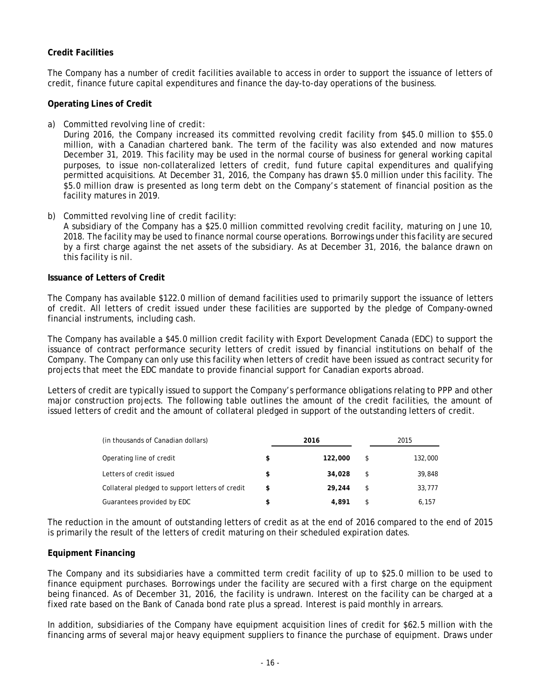### **Credit Facilities**

The Company has a number of credit facilities available to access in order to support the issuance of letters of credit, finance future capital expenditures and finance the day-to-day operations of the business.

#### **Operating Lines of Credit**

#### *a) Committed revolving line of credit:*

During 2016, the Company increased its committed revolving credit facility from \$45.0 million to \$55.0 million, with a Canadian chartered bank. The term of the facility was also extended and now matures December 31, 2019. This facility may be used in the normal course of business for general working capital purposes, to issue non-collateralized letters of credit, fund future capital expenditures and qualifying permitted acquisitions. At December 31, 2016, the Company has drawn \$5.0 million under this facility. The \$5.0 million draw is presented as long term debt on the Company's statement of financial position as the facility matures in 2019.

#### *b) Committed revolving line of credit facility*:

A subsidiary of the Company has a \$25.0 million committed revolving credit facility, maturing on June 10, 2018. The facility may be used to finance normal course operations. Borrowings under this facility are secured by a first charge against the net assets of the subsidiary. As at December 31, 2016, the balance drawn on this facility is nil.

#### **Issuance of Letters of Credit**

The Company has available \$122.0 million of demand facilities used to primarily support the issuance of letters of credit. All letters of credit issued under these facilities are supported by the pledge of Company-owned financial instruments, including cash.

The Company has available a \$45.0 million credit facility with Export Development Canada (EDC) to support the issuance of contract performance security letters of credit issued by financial institutions on behalf of the Company. The Company can only use this facility when letters of credit have been issued as contract security for projects that meet the EDC mandate to provide financial support for Canadian exports abroad.

Letters of credit are typically issued to support the Company's performance obligations relating to PPP and other major construction projects. The following table outlines the amount of the credit facilities, the amount of issued letters of credit and the amount of collateral pledged in support of the outstanding letters of credit.

| (in thousands of Canadian dollars)              |    | 2016    | 2015 |         |  |
|-------------------------------------------------|----|---------|------|---------|--|
| Operating line of credit                        | \$ | 122,000 | \$   | 132,000 |  |
| Letters of credit issued                        | \$ | 34,028  | \$   | 39,848  |  |
| Collateral pledged to support letters of credit | S  | 29.244  | \$   | 33,777  |  |
| Guarantees provided by EDC                      | S  | 4.891   |      | 6.157   |  |

The reduction in the amount of outstanding letters of credit as at the end of 2016 compared to the end of 2015 is primarily the result of the letters of credit maturing on their scheduled expiration dates.

#### **Equipment Financing**

The Company and its subsidiaries have a committed term credit facility of up to \$25.0 million to be used to finance equipment purchases. Borrowings under the facility are secured with a first charge on the equipment being financed. As of December 31, 2016, the facility is undrawn. Interest on the facility can be charged at a fixed rate based on the Bank of Canada bond rate plus a spread. Interest is paid monthly in arrears.

In addition, subsidiaries of the Company have equipment acquisition lines of credit for \$62.5 million with the financing arms of several major heavy equipment suppliers to finance the purchase of equipment. Draws under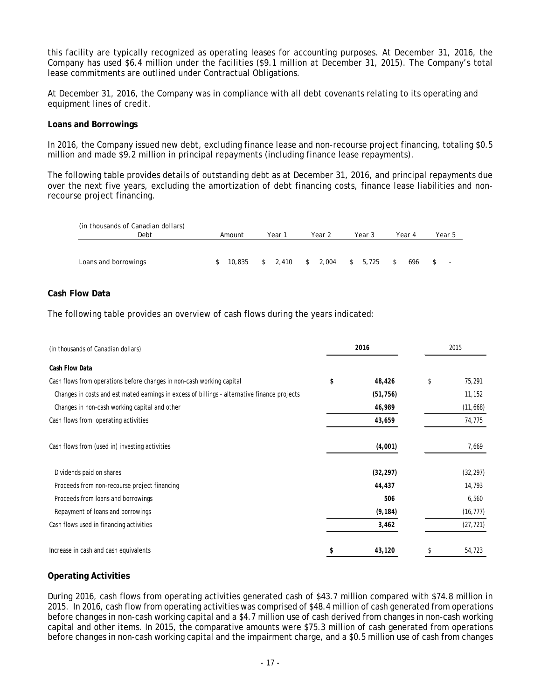this facility are typically recognized as operating leases for accounting purposes. At December 31, 2016, the Company has used \$6.4 million under the facilities (\$9.1 million at December 31, 2015). The Company's total lease commitments are outlined under Contractual Obligations.

At December 31, 2016, the Company was in compliance with all debt covenants relating to its operating and equipment lines of credit.

#### **Loans and Borrowings**

In 2016, the Company issued new debt, excluding finance lease and non-recourse project financing, totaling \$0.5 million and made \$9.2 million in principal repayments (including finance lease repayments).

The following table provides details of outstanding debt as at December 31, 2016, and principal repayments due over the next five years, excluding the amortization of debt financing costs, finance lease liabilities and nonrecourse project financing.

| (in thousands of Canadian dollars) |        |                             |        |         |           |                          |
|------------------------------------|--------|-----------------------------|--------|---------|-----------|--------------------------|
| Debt                               | Amount | Year 1                      | Year 2 | Year 3  | Year 4    | Year 5                   |
|                                    |        |                             |        |         |           |                          |
| Loans and borrowings               |        | \$ 10,835 \$ 2,410 \$ 2,004 |        | \$5,725 | 696<br>s. | $\overline{\phantom{a}}$ |

### **Cash Flow Data**

The following table provides an overview of cash flows during the years indicated:

| (in thousands of Canadian dollars)                                                           | 2016 |           | 2015 |           |
|----------------------------------------------------------------------------------------------|------|-----------|------|-----------|
| Cash Flow Data                                                                               |      |           |      |           |
| Cash flows from operations before changes in non-cash working capital                        | \$   | 48,426    | \$   | 75,291    |
| Changes in costs and estimated earnings in excess of billings - alternative finance projects |      | (51, 756) |      | 11,152    |
| Changes in non-cash working capital and other                                                |      | 46,989    |      | (11,668)  |
| Cash flows from operating activities                                                         |      | 43,659    |      | 74,775    |
| Cash flows from (used in) investing activities                                               |      | (4,001)   |      | 7,669     |
| Dividends paid on shares                                                                     |      | (32, 297) |      | (32, 297) |
| Proceeds from non-recourse project financing                                                 |      | 44,437    |      | 14,793    |
| Proceeds from loans and borrowings                                                           |      | 506       |      | 6,560     |
| Repayment of loans and borrowings                                                            |      | (9, 184)  |      | (16, 777) |
| Cash flows used in financing activities                                                      |      | 3,462     |      | (27, 721) |
| Increase in cash and cash equivalents                                                        | \$   | 43,120    |      | 54,723    |

### **Operating Activities**

During 2016, cash flows from operating activities generated cash of \$43.7 million compared with \$74.8 million in 2015. In 2016, cash flow from operating activities was comprised of \$48.4 million of cash generated from operations before changes in non-cash working capital and a \$4.7 million use of cash derived from changes in non-cash working capital and other items. In 2015, the comparative amounts were \$75.3 million of cash generated from operations before changes in non-cash working capital and the impairment charge, and a \$0.5 million use of cash from changes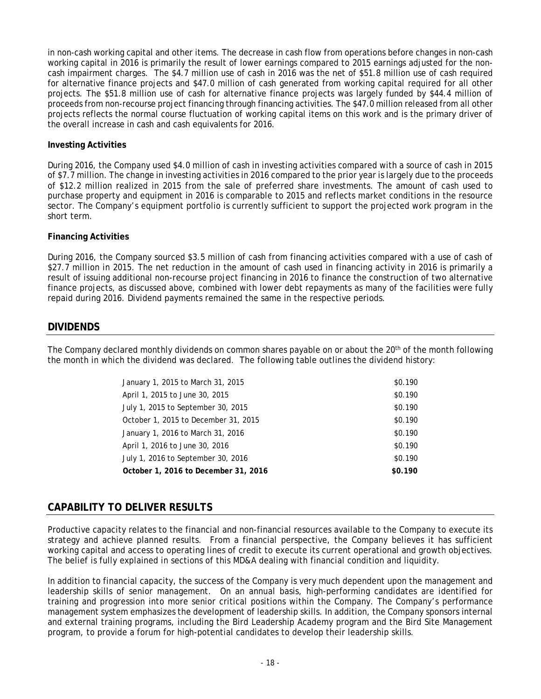in non-cash working capital and other items. The decrease in cash flow from operations before changes in non-cash working capital in 2016 is primarily the result of lower earnings compared to 2015 earnings adjusted for the noncash impairment charges. The \$4.7 million use of cash in 2016 was the net of \$51.8 million use of cash required for alternative finance projects and \$47.0 million of cash generated from working capital required for all other projects. The \$51.8 million use of cash for alternative finance projects was largely funded by \$44.4 million of proceeds from non-recourse project financing through financing activities. The \$47.0 million released from all other projects reflects the normal course fluctuation of working capital items on this work and is the primary driver of the overall increase in cash and cash equivalents for 2016.

### **Investing Activities**

During 2016, the Company used \$4.0 million of cash in investing activities compared with a source of cash in 2015 of \$7.7 million. The change in investing activities in 2016 compared to the prior year is largely due to the proceeds of \$12.2 million realized in 2015 from the sale of preferred share investments. The amount of cash used to purchase property and equipment in 2016 is comparable to 2015 and reflects market conditions in the resource sector. The Company's equipment portfolio is currently sufficient to support the projected work program in the short term.

#### **Financing Activities**

During 2016, the Company sourced \$3.5 million of cash from financing activities compared with a use of cash of \$27.7 million in 2015. The net reduction in the amount of cash used in financing activity in 2016 is primarily a result of issuing additional non-recourse project financing in 2016 to finance the construction of two alternative finance projects, as discussed above, combined with lower debt repayments as many of the facilities were fully repaid during 2016. Dividend payments remained the same in the respective periods.

### **DIVIDENDS**

The Company declared monthly dividends on common shares payable on or about the 20<sup>th</sup> of the month following the month in which the dividend was declared. The following table outlines the dividend history:

| January 1, 2015 to March 31, 2015    | \$0.190 |
|--------------------------------------|---------|
| April 1, 2015 to June 30, 2015       | \$0.190 |
| July 1, 2015 to September 30, 2015   | \$0.190 |
| October 1, 2015 to December 31, 2015 | \$0.190 |
| January 1, 2016 to March 31, 2016    | \$0.190 |
| April 1, 2016 to June 30, 2016       | \$0.190 |
| July 1, 2016 to September 30, 2016   | \$0.190 |
| October 1, 2016 to December 31, 2016 | \$0.190 |

# **CAPABILITY TO DELIVER RESULTS**

Productive capacity relates to the financial and non-financial resources available to the Company to execute its strategy and achieve planned results. From a financial perspective, the Company believes it has sufficient working capital and access to operating lines of credit to execute its current operational and growth objectives. The belief is fully explained in sections of this MD&A dealing with financial condition and liquidity.

In addition to financial capacity, the success of the Company is very much dependent upon the management and leadership skills of senior management. On an annual basis, high-performing candidates are identified for training and progression into more senior critical positions within the Company. The Company's performance management system emphasizes the development of leadership skills. In addition, the Company sponsors internal and external training programs, including the Bird Leadership Academy program and the Bird Site Management program, to provide a forum for high-potential candidates to develop their leadership skills.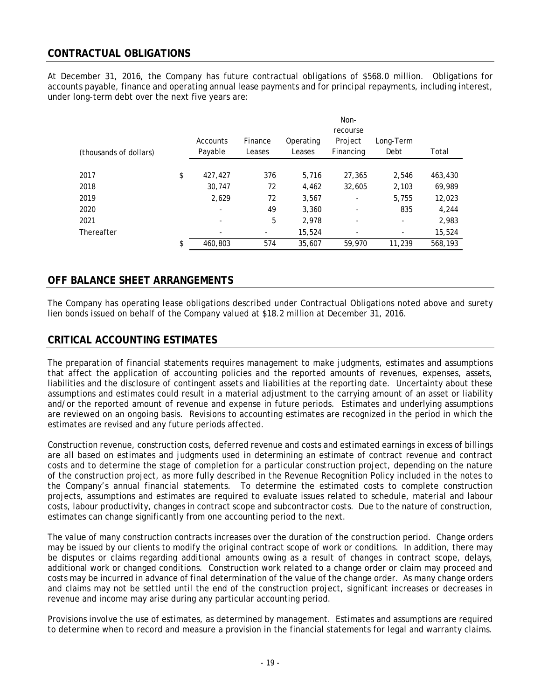# **CONTRACTUAL OBLIGATIONS**

At December 31, 2016, the Company has future contractual obligations of \$568.0 million. Obligations for accounts payable, finance and operating annual lease payments and for principal repayments, including interest, under long-term debt over the next five years are:

|                        |                          |                   | Non-                |                                  |                   |         |
|------------------------|--------------------------|-------------------|---------------------|----------------------------------|-------------------|---------|
| (thousands of dollars) | Accounts<br>Payable      | Finance<br>Leases | Operating<br>Leases | recourse<br>Project<br>Financing | Long-Term<br>Debt | Total   |
|                        |                          |                   |                     |                                  |                   |         |
| 2017                   | \$<br>427,427            | 376               | 5,716               | 27,365                           | 2,546             | 463,430 |
| 2018                   | 30.747                   | 72                | 4.462               | 32,605                           | 2,103             | 69,989  |
| 2019                   | 2,629                    | 72                | 3,567               |                                  | 5,755             | 12,023  |
| 2020                   |                          | 49                | 3,360               |                                  | 835               | 4,244   |
| 2021                   | $\overline{\phantom{a}}$ | 5                 | 2,978               | ۰                                | ۰                 | 2,983   |
| Thereafter             |                          | -                 | 15,524              |                                  |                   | 15,524  |
|                        | \$<br>460,803            | 574               | 35,607              | 59,970                           | 11,239            | 568,193 |

## **OFF BALANCE SHEET ARRANGEMENTS**

The Company has operating lease obligations described under Contractual Obligations noted above and surety lien bonds issued on behalf of the Company valued at \$18.2 million at December 31, 2016.

### **CRITICAL ACCOUNTING ESTIMATES**

The preparation of financial statements requires management to make judgments, estimates and assumptions that affect the application of accounting policies and the reported amounts of revenues, expenses, assets, liabilities and the disclosure of contingent assets and liabilities at the reporting date. Uncertainty about these assumptions and estimates could result in a material adjustment to the carrying amount of an asset or liability and/or the reported amount of revenue and expense in future periods. Estimates and underlying assumptions are reviewed on an ongoing basis. Revisions to accounting estimates are recognized in the period in which the estimates are revised and any future periods affected.

Construction revenue, construction costs, deferred revenue and costs and estimated earnings in excess of billings are all based on estimates and judgments used in determining an estimate of contract revenue and contract costs and to determine the stage of completion for a particular construction project, depending on the nature of the construction project, as more fully described in the Revenue Recognition Policy included in the notes to the Company's annual financial statements. To determine the estimated costs to complete construction projects, assumptions and estimates are required to evaluate issues related to schedule, material and labour costs, labour productivity, changes in contract scope and subcontractor costs. Due to the nature of construction, estimates can change significantly from one accounting period to the next.

The value of many construction contracts increases over the duration of the construction period. Change orders may be issued by our clients to modify the original contract scope of work or conditions. In addition, there may be disputes or claims regarding additional amounts owing as a result of changes in contract scope, delays, additional work or changed conditions. Construction work related to a change order or claim may proceed and costs may be incurred in advance of final determination of the value of the change order. As many change orders and claims may not be settled until the end of the construction project, significant increases or decreases in revenue and income may arise during any particular accounting period.

Provisions involve the use of estimates, as determined by management. Estimates and assumptions are required to determine when to record and measure a provision in the financial statements for legal and warranty claims.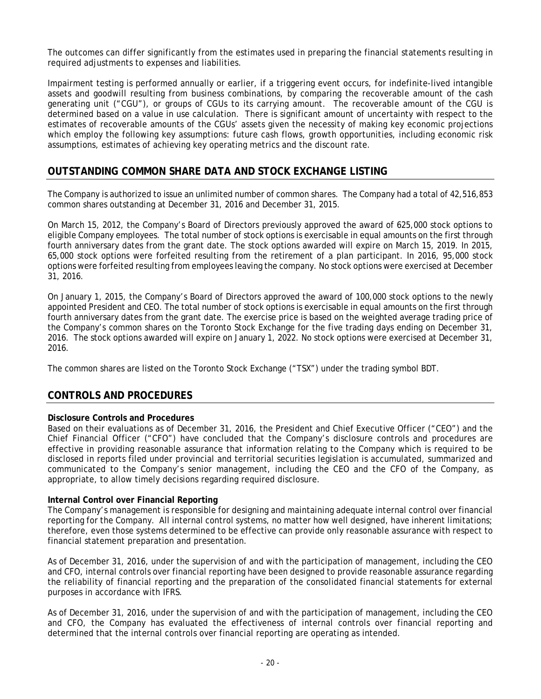The outcomes can differ significantly from the estimates used in preparing the financial statements resulting in required adjustments to expenses and liabilities.

Impairment testing is performed annually or earlier, if a triggering event occurs, for indefinite-lived intangible assets and goodwill resulting from business combinations, by comparing the recoverable amount of the cash generating unit ("CGU"), or groups of CGUs to its carrying amount. The recoverable amount of the CGU is determined based on a value in use calculation. There is significant amount of uncertainty with respect to the estimates of recoverable amounts of the CGUs' assets given the necessity of making key economic projections which employ the following key assumptions: future cash flows, growth opportunities, including economic risk assumptions, estimates of achieving key operating metrics and the discount rate.

## **OUTSTANDING COMMON SHARE DATA AND STOCK EXCHANGE LISTING**

The Company is authorized to issue an unlimited number of common shares. The Company had a total of 42,516,853 common shares outstanding at December 31, 2016 and December 31, 2015.

On March 15, 2012, the Company's Board of Directors previously approved the award of 625,000 stock options to eligible Company employees. The total number of stock options is exercisable in equal amounts on the first through fourth anniversary dates from the grant date. The stock options awarded will expire on March 15, 2019. In 2015, 65,000 stock options were forfeited resulting from the retirement of a plan participant. In 2016, 95,000 stock options were forfeited resulting from employees leaving the company. No stock options were exercised at December 31, 2016.

On January 1, 2015, the Company's Board of Directors approved the award of 100,000 stock options to the newly appointed President and CEO. The total number of stock options is exercisable in equal amounts on the first through fourth anniversary dates from the grant date. The exercise price is based on the weighted average trading price of the Company's common shares on the Toronto Stock Exchange for the five trading days ending on December 31, 2016. The stock options awarded will expire on January 1, 2022. No stock options were exercised at December 31, 2016.

The common shares are listed on the Toronto Stock Exchange ("TSX") under the trading symbol BDT.

### **CONTROLS AND PROCEDURES**

### **Disclosure Controls and Procedures**

Based on their evaluations as of December 31, 2016, the President and Chief Executive Officer ("CEO") and the Chief Financial Officer ("CFO") have concluded that the Company's disclosure controls and procedures are effective in providing reasonable assurance that information relating to the Company which is required to be disclosed in reports filed under provincial and territorial securities legislation is accumulated, summarized and communicated to the Company's senior management, including the CEO and the CFO of the Company, as appropriate, to allow timely decisions regarding required disclosure.

#### **Internal Control over Financial Reporting**

The Company's management is responsible for designing and maintaining adequate internal control over financial reporting for the Company. All internal control systems, no matter how well designed, have inherent limitations; therefore, even those systems determined to be effective can provide only reasonable assurance with respect to financial statement preparation and presentation.

As of December 31, 2016, under the supervision of and with the participation of management, including the CEO and CFO, internal controls over financial reporting have been designed to provide reasonable assurance regarding the reliability of financial reporting and the preparation of the consolidated financial statements for external purposes in accordance with IFRS.

As of December 31, 2016, under the supervision of and with the participation of management, including the CEO and CFO, the Company has evaluated the effectiveness of internal controls over financial reporting and determined that the internal controls over financial reporting are operating as intended.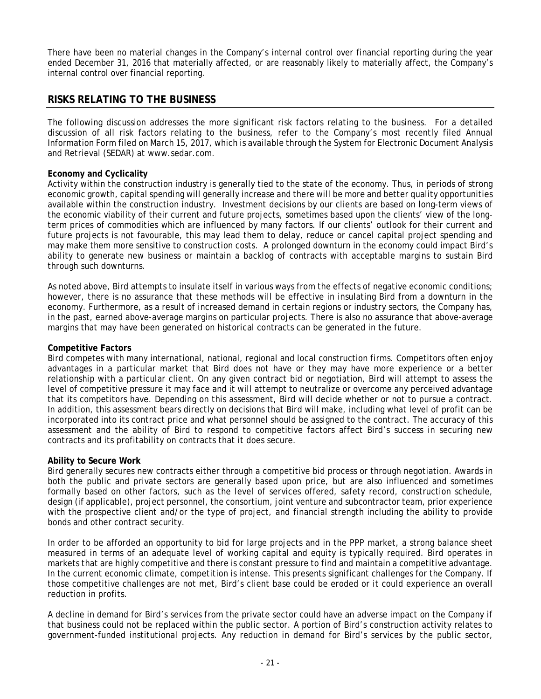There have been no material changes in the Company's internal control over financial reporting during the year ended December 31, 2016 that materially affected, or are reasonably likely to materially affect, the Company's internal control over financial reporting.

## **RISKS RELATING TO THE BUSINESS**

The following discussion addresses the more significant risk factors relating to the business. For a detailed discussion of all risk factors relating to the business, refer to the Company's most recently filed Annual Information Form filed on March 15, 2017, which is available through the System for Electronic Document Analysis and Retrieval (SEDAR) at www.sedar.com.

#### **Economy and Cyclicality**

Activity within the construction industry is generally tied to the state of the economy. Thus, in periods of strong economic growth, capital spending will generally increase and there will be more and better quality opportunities available within the construction industry. Investment decisions by our clients are based on long-term views of the economic viability of their current and future projects, sometimes based upon the clients' view of the longterm prices of commodities which are influenced by many factors. If our clients' outlook for their current and future projects is not favourable, this may lead them to delay, reduce or cancel capital project spending and may make them more sensitive to construction costs. A prolonged downturn in the economy could impact Bird's ability to generate new business or maintain a backlog of contracts with acceptable margins to sustain Bird through such downturns.

As noted above, Bird attempts to insulate itself in various ways from the effects of negative economic conditions; however, there is no assurance that these methods will be effective in insulating Bird from a downturn in the economy. Furthermore, as a result of increased demand in certain regions or industry sectors, the Company has, in the past, earned above-average margins on particular projects. There is also no assurance that above-average margins that may have been generated on historical contracts can be generated in the future.

#### **Competitive Factors**

Bird competes with many international, national, regional and local construction firms. Competitors often enjoy advantages in a particular market that Bird does not have or they may have more experience or a better relationship with a particular client. On any given contract bid or negotiation, Bird will attempt to assess the level of competitive pressure it may face and it will attempt to neutralize or overcome any perceived advantage that its competitors have. Depending on this assessment, Bird will decide whether or not to pursue a contract. In addition, this assessment bears directly on decisions that Bird will make, including what level of profit can be incorporated into its contract price and what personnel should be assigned to the contract. The accuracy of this assessment and the ability of Bird to respond to competitive factors affect Bird's success in securing new contracts and its profitability on contracts that it does secure.

#### **Ability to Secure Work**

Bird generally secures new contracts either through a competitive bid process or through negotiation. Awards in both the public and private sectors are generally based upon price, but are also influenced and sometimes formally based on other factors, such as the level of services offered, safety record, construction schedule, design (if applicable), project personnel, the consortium, joint venture and subcontractor team, prior experience with the prospective client and/or the type of project, and financial strength including the ability to provide bonds and other contract security.

In order to be afforded an opportunity to bid for large projects and in the PPP market, a strong balance sheet measured in terms of an adequate level of working capital and equity is typically required. Bird operates in markets that are highly competitive and there is constant pressure to find and maintain a competitive advantage. In the current economic climate, competition is intense. This presents significant challenges for the Company. If those competitive challenges are not met, Bird's client base could be eroded or it could experience an overall reduction in profits.

A decline in demand for Bird's services from the private sector could have an adverse impact on the Company if that business could not be replaced within the public sector. A portion of Bird's construction activity relates to government-funded institutional projects. Any reduction in demand for Bird's services by the public sector,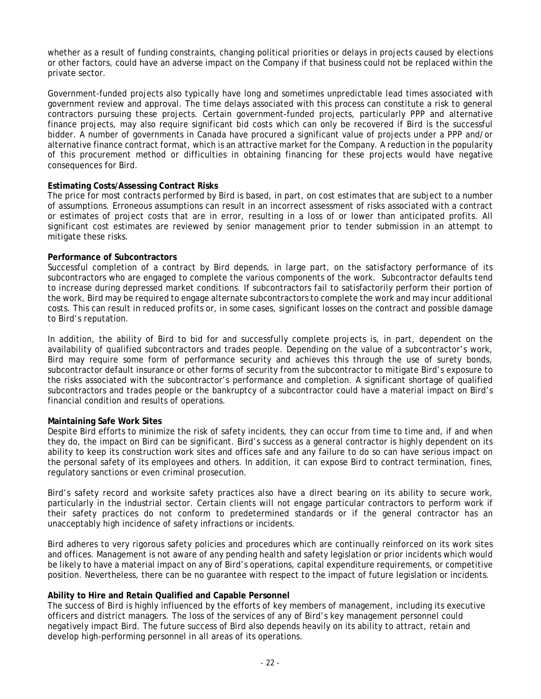whether as a result of funding constraints, changing political priorities or delays in projects caused by elections or other factors, could have an adverse impact on the Company if that business could not be replaced within the private sector.

Government-funded projects also typically have long and sometimes unpredictable lead times associated with government review and approval. The time delays associated with this process can constitute a risk to general contractors pursuing these projects. Certain government-funded projects, particularly PPP and alternative finance projects, may also require significant bid costs which can only be recovered if Bird is the successful bidder. A number of governments in Canada have procured a significant value of projects under a PPP and/or alternative finance contract format, which is an attractive market for the Company. A reduction in the popularity of this procurement method or difficulties in obtaining financing for these projects would have negative consequences for Bird.

#### **Estimating Costs/Assessing Contract Risks**

The price for most contracts performed by Bird is based, in part, on cost estimates that are subject to a number of assumptions. Erroneous assumptions can result in an incorrect assessment of risks associated with a contract or estimates of project costs that are in error, resulting in a loss of or lower than anticipated profits. All significant cost estimates are reviewed by senior management prior to tender submission in an attempt to mitigate these risks.

#### **Performance of Subcontractors**

Successful completion of a contract by Bird depends, in large part, on the satisfactory performance of its subcontractors who are engaged to complete the various components of the work. Subcontractor defaults tend to increase during depressed market conditions. If subcontractors fail to satisfactorily perform their portion of the work, Bird may be required to engage alternate subcontractors to complete the work and may incur additional costs. This can result in reduced profits or, in some cases, significant losses on the contract and possible damage to Bird's reputation.

In addition, the ability of Bird to bid for and successfully complete projects is, in part, dependent on the availability of qualified subcontractors and trades people. Depending on the value of a subcontractor's work, Bird may require some form of performance security and achieves this through the use of surety bonds, subcontractor default insurance or other forms of security from the subcontractor to mitigate Bird's exposure to the risks associated with the subcontractor's performance and completion. A significant shortage of qualified subcontractors and trades people or the bankruptcy of a subcontractor could have a material impact on Bird's financial condition and results of operations.

#### **Maintaining Safe Work Sites**

Despite Bird efforts to minimize the risk of safety incidents, they can occur from time to time and, if and when they do, the impact on Bird can be significant. Bird's success as a general contractor is highly dependent on its ability to keep its construction work sites and offices safe and any failure to do so can have serious impact on the personal safety of its employees and others. In addition, it can expose Bird to contract termination, fines, regulatory sanctions or even criminal prosecution.

Bird's safety record and worksite safety practices also have a direct bearing on its ability to secure work, particularly in the industrial sector. Certain clients will not engage particular contractors to perform work if their safety practices do not conform to predetermined standards or if the general contractor has an unacceptably high incidence of safety infractions or incidents.

Bird adheres to very rigorous safety policies and procedures which are continually reinforced on its work sites and offices. Management is not aware of any pending health and safety legislation or prior incidents which would be likely to have a material impact on any of Bird's operations, capital expenditure requirements, or competitive position. Nevertheless, there can be no guarantee with respect to the impact of future legislation or incidents.

#### **Ability to Hire and Retain Qualified and Capable Personnel**

The success of Bird is highly influenced by the efforts of key members of management, including its executive officers and district managers. The loss of the services of any of Bird's key management personnel could negatively impact Bird. The future success of Bird also depends heavily on its ability to attract, retain and develop high-performing personnel in all areas of its operations.